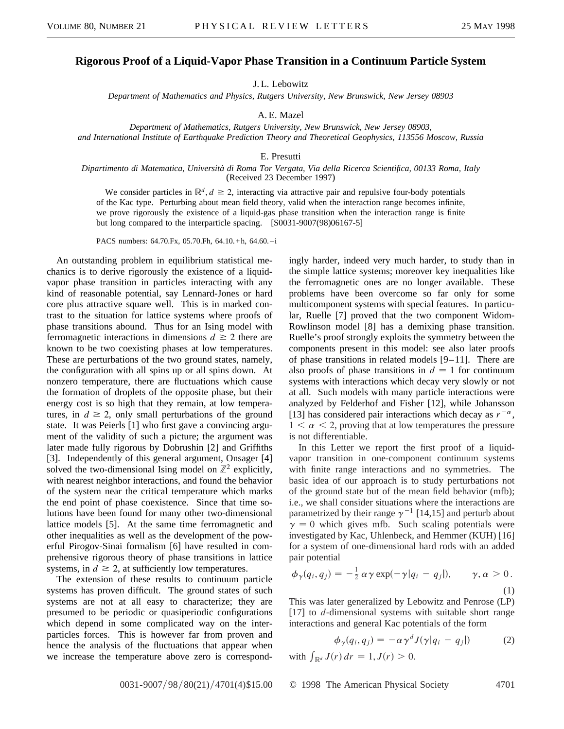## **Rigorous Proof of a Liquid-Vapor Phase Transition in a Continuum Particle System**

J. L. Lebowitz

*Department of Mathematics and Physics, Rutgers University, New Brunswick, New Jersey 08903*

A. E. Mazel

*Department of Mathematics, Rutgers University, New Brunswick, New Jersey 08903, and International Institute of Earthquake Prediction Theory and Theoretical Geophysics, 113556 Moscow, Russia*

## E. Presutti

## *Dipartimento di Matematica, Università di Roma Tor Vergata, Via della Ricerca Scientifica, 00133 Roma, Italy* (Received 23 December 1997)

We consider particles in  $\mathbb{R}^d$ ,  $d \ge 2$ , interacting via attractive pair and repulsive four-body potentials of the Kac type. Perturbing about mean field theory, valid when the interaction range becomes infinite, we prove rigorously the existence of a liquid-gas phase transition when the interaction range is finite but long compared to the interparticle spacing. [S0031-9007(98)06167-5]

PACS numbers: 64.70.Fx, 05.70.Fh, 64.10.+ h, 64.60. –i

An outstanding problem in equilibrium statistical mechanics is to derive rigorously the existence of a liquidvapor phase transition in particles interacting with any kind of reasonable potential, say Lennard-Jones or hard core plus attractive square well. This is in marked contrast to the situation for lattice systems where proofs of phase transitions abound. Thus for an Ising model with ferromagnetic interactions in dimensions  $d \ge 2$  there are known to be two coexisting phases at low temperatures. These are perturbations of the two ground states, namely, the configuration with all spins up or all spins down. At nonzero temperature, there are fluctuations which cause the formation of droplets of the opposite phase, but their energy cost is so high that they remain, at low temperatures, in  $d \geq 2$ , only small perturbations of the ground state. It was Peierls [1] who first gave a convincing argument of the validity of such a picture; the argument was later made fully rigorous by Dobrushin [2] and Griffiths [3]. Independently of this general argument, Onsager [4] solved the two-dimensional Ising model on  $\mathbb{Z}^2$  explicitly, with nearest neighbor interactions, and found the behavior of the system near the critical temperature which marks the end point of phase coexistence. Since that time solutions have been found for many other two-dimensional lattice models [5]. At the same time ferromagnetic and other inequalities as well as the development of the powerful Pirogov-Sinai formalism [6] have resulted in comprehensive rigorous theory of phase transitions in lattice systems, in  $d \geq 2$ , at sufficiently low temperatures.

The extension of these results to continuum particle systems has proven difficult. The ground states of such systems are not at all easy to characterize; they are presumed to be periodic or quasiperiodic configurations which depend in some complicated way on the interparticles forces. This is however far from proven and hence the analysis of the fluctuations that appear when we increase the temperature above zero is correspondingly harder, indeed very much harder, to study than in the simple lattice systems; moreover key inequalities like the ferromagnetic ones are no longer available. These problems have been overcome so far only for some multicomponent systems with special features. In particular, Ruelle [7] proved that the two component Widom-Rowlinson model [8] has a demixing phase transition. Ruelle's proof strongly exploits the symmetry between the components present in this model: see also later proofs of phase transitions in related models [9–11]. There are also proofs of phase transitions in  $d = 1$  for continuum systems with interactions which decay very slowly or not at all. Such models with many particle interactions were analyzed by Felderhof and Fisher [12], while Johansson [13] has considered pair interactions which decay as  $r^{-\alpha}$ ,  $1 < \alpha < 2$ , proving that at low temperatures the pressure is not differentiable.

In this Letter we report the first proof of a liquidvapor transition in one-component continuum systems with finite range interactions and no symmetries. The basic idea of our approach is to study perturbations not of the ground state but of the mean field behavior (mfb); i.e., we shall consider situations where the interactions are parametrized by their range  $\gamma^{-1}$  [14,15] and perturb about  $\gamma = 0$  which gives mfb. Such scaling potentials were investigated by Kac, Uhlenbeck, and Hemmer (KUH) [16] for a system of one-dimensional hard rods with an added pair potential

$$
\phi_{\gamma}(q_i, q_j) = -\frac{1}{2} \alpha \gamma \exp(-\gamma |q_i - q_j|), \qquad \gamma, \alpha > 0.
$$
\n(1)

This was later generalized by Lebowitz and Penrose (LP) [17] to *d*-dimensional systems with suitable short range interactions and general Kac potentials of the form

$$
\phi_{\gamma}(q_i, q_j) = -\alpha \gamma^d J(\gamma | q_i - q_j|) \tag{2}
$$

with  $\int_{\mathbb{R}^d} J(r) dr = 1, J(r) > 0.$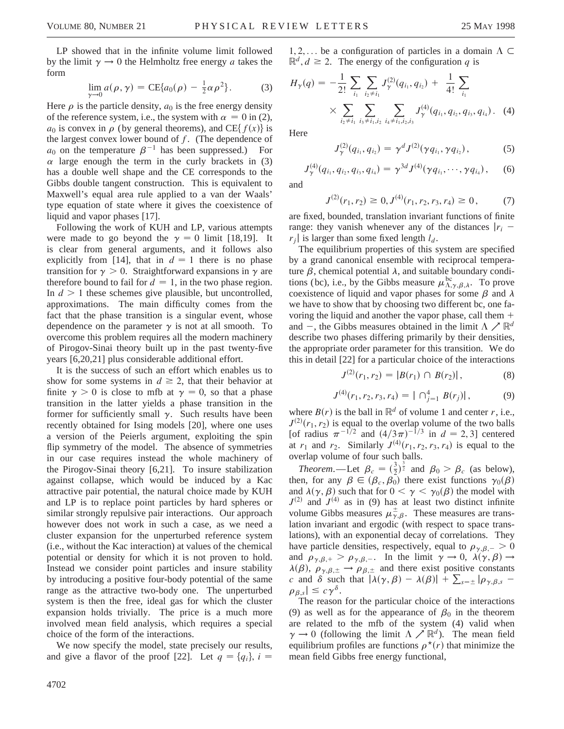LP showed that in the infinite volume limit followed by the limit  $\gamma \rightarrow 0$  the Helmholtz free energy *a* takes the form

$$
\lim_{\gamma \to 0} a(\rho, \gamma) = \text{CE}\{a_0(\rho) - \frac{1}{2}\alpha \rho^2\}.
$$
 (3)

Here  $\rho$  is the particle density,  $a_0$  is the free energy density of the reference system, i.e., the system with  $\alpha = 0$  in (2),  $a_0$  is convex in  $\rho$  (by general theorems), and CE{ $f(x)$ } is the largest convex lower bound of *f*. (The dependence of  $a_0$  on the temperature  $\beta^{-1}$  has been suppressed.) For  $\alpha$  large enough the term in the curly brackets in (3) has a double well shape and the CE corresponds to the Gibbs double tangent construction. This is equivalent to Maxwell's equal area rule applied to a van der Waals' type equation of state where it gives the coexistence of liquid and vapor phases [17].

Following the work of KUH and LP, various attempts were made to go beyond the  $\gamma = 0$  limit [18,19]. It is clear from general arguments, and it follows also explicitly from [14], that in  $d = 1$  there is no phase transition for  $\gamma > 0$ . Straightforward expansions in  $\gamma$  are therefore bound to fail for  $d = 1$ , in the two phase region. In  $d > 1$  these schemes give plausible, but uncontrolled, approximations. The main difficulty comes from the fact that the phase transition is a singular event, whose dependence on the parameter  $\gamma$  is not at all smooth. To overcome this problem requires all the modern machinery of Pirogov-Sinai theory built up in the past twenty-five years [6,20,21] plus considerable additional effort.

It is the success of such an effort which enables us to show for some systems in  $d \geq 2$ , that their behavior at finite  $\gamma > 0$  is close to mfb at  $\gamma = 0$ , so that a phase transition in the latter yields a phase transition in the former for sufficiently small  $\gamma$ . Such results have been recently obtained for Ising models [20], where one uses a version of the Peierls argument, exploiting the spin flip symmetry of the model. The absence of symmetries in our case requires instead the whole machinery of the Pirogov-Sinai theory [6,21]. To insure stabilization against collapse, which would be induced by a Kac attractive pair potential, the natural choice made by KUH and LP is to replace point particles by hard spheres or similar strongly repulsive pair interactions. Our approach however does not work in such a case, as we need a cluster expansion for the unperturbed reference system (i.e., without the Kac interaction) at values of the chemical potential or density for which it is not proven to hold. Instead we consider point particles and insure stability by introducing a positive four-body potential of the same range as the attractive two-body one. The unperturbed system is then the free, ideal gas for which the cluster expansion holds trivially. The price is a much more involved mean field analysis, which requires a special choice of the form of the interactions.

We now specify the model, state precisely our results, and give a flavor of the proof [22]. Let  $q = \{q_i\}$ ,  $i =$ 

 $1, 2, \ldots$  be a configuration of particles in a domain  $\Lambda \subset$  $\mathbb{R}^d$ ,  $d \geq 2$ . The energy of the configuration *q* is

$$
H_{\gamma}(q) = -\frac{1}{2!} \sum_{i_1} \sum_{i_2 \neq i_1} J_{\gamma}^{(2)}(q_{i_1}, q_{i_2}) + \frac{1}{4!} \sum_{i_1} \times \sum_{i_2 \neq i_1} \sum_{i_3 \neq i_1, i_2} \sum_{i_4 \neq i_1, i_2, i_3} J_{\gamma}^{(4)}(q_{i_1}, q_{i_2}, q_{i_3}, q_{i_4}). \tag{4}
$$

**Here** 

$$
J_{\gamma}^{(2)}(q_{i_1}, q_{i_2}) = \gamma^d J^{(2)}(\gamma q_{i_1}, \gamma q_{i_2}), \qquad (5)
$$

$$
J_{\gamma}^{(4)}(q_{i_1}, q_{i_2}, q_{i_3}, q_{i_4}) = \gamma^{3d} J^{(4)}(\gamma q_{i_1}, \cdots, \gamma q_{i_4}), \quad (6)
$$

and

$$
J^{(2)}(r_1, r_2) \ge 0, J^{(4)}(r_1, r_2, r_3, r_4) \ge 0, \tag{7}
$$

are fixed, bounded, translation invariant functions of finite range: they vanish whenever any of the distances  $|r_i$  $r_i$  is larger than some fixed length  $l_d$ .

The equilibrium properties of this system are specified by a grand canonical ensemble with reciprocal temperature  $\beta$ , chemical potential  $\lambda$ , and suitable boundary conditions (bc), i.e., by the Gibbs measure  $\mu_{\Lambda,\gamma,\beta,\lambda}^{\mathrm{bc}}$ . To prove coexistence of liquid and vapor phases for some  $\beta$  and  $\lambda$ we have to show that by choosing two different bc, one favoring the liquid and another the vapor phase, call them  $+$ and  $-$ , the Gibbs measures obtained in the limit  $\Lambda \nearrow \mathbb{R}^d$ describe two phases differing primarily by their densities, the appropriate order parameter for this transition. We do this in detail [22] for a particular choice of the interactions

$$
J^{(2)}(r_1, r_2) = |B(r_1) \cap B(r_2)|, \tag{8}
$$

$$
J^{(4)}(r_1, r_2, r_3, r_4) = |\bigcap_{j=1}^4 B(r_j)|, \tag{9}
$$

where  $B(r)$  is the ball in  $\mathbb{R}^d$  of volume 1 and center *r*, i.e.,  $J^{(2)}(r_1, r_2)$  is equal to the overlap volume of the two balls [of radius  $\pi^{-1/2}$  and  $(4/3\pi)^{-1/3}$  in  $d = 2, 3$ ] centered at  $r_1$  and  $r_2$ . Similarly  $J^{(4)}(r_1, r_2, r_3, r_4)$  is equal to the overlap volume of four such balls.

*Theorem.*—Let  $\beta_c = (\frac{3}{2})^{\frac{3}{2}}$  and  $\beta_0 > \beta_c$  (as below), then, for any  $\beta \in (\beta_c, \beta_0)$  there exist functions  $\gamma_0(\beta)$ and  $\lambda(\gamma, \beta)$  such that for  $0 < \gamma < \gamma_0(\beta)$  the model with  $J^{(2)}$  and  $J^{(4)}$  as in (9) has at least two distinct infinite volume Gibbs measures  $\mu^{\pm}_{\gamma,\beta}$ . These measures are translation invariant and ergodic (with respect to space translations), with an exponential decay of correlations. They have particle densities, respectively, equal to  $\rho_{\gamma,\beta,-} > 0$ and  $\rho_{\gamma,\beta,+} > \rho_{\gamma,\beta,-}$ . In the limit  $\gamma \to 0$ ,  $\lambda(\gamma,\beta) \to$  $\lambda(\beta)$ ,  $\rho_{\gamma,\beta,\pm} \to \rho_{\beta,\pm}$  and there exist positive constants *c* and  $\delta$  such that  $|\lambda(\gamma, \beta) - \lambda(\beta)| + \sum_{s=\pm} |\rho_{\gamma,\beta,s} - \beta|$  $\rho_{\beta,s}$   $\leq c\gamma^{\delta}$ .

The reason for the particular choice of the interactions (9) as well as for the appearance of  $\beta_0$  in the theorem are related to the mfb of the system (4) valid when  $\gamma \to 0$  (following the limit  $\Lambda \nearrow \mathbb{R}^d$ ). The mean field equilibrium profiles are functions  $\rho^*(r)$  that minimize the mean field Gibbs free energy functional,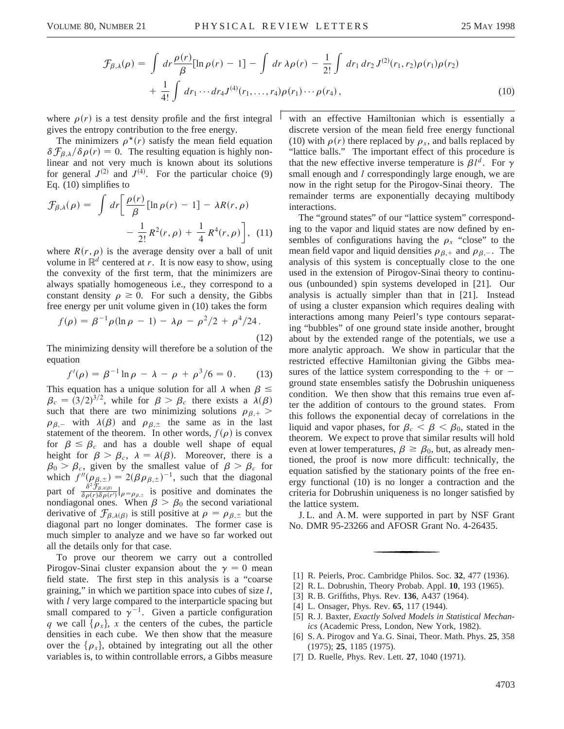$$
\mathcal{F}_{\beta,\lambda}(\rho) = \int dr \frac{\rho(r)}{\beta} [\ln \rho(r) - 1] - \int dr \lambda \rho(r) - \frac{1}{2!} \int dr_1 dr_2 J^{(2)}(r_1, r_2) \rho(r_1) \rho(r_2) + \frac{1}{4!} \int dr_1 \cdots dr_4 J^{(4)}(r_1, \ldots, r_4) \rho(r_1) \cdots \rho(r_4),
$$
\n(10)

where  $\rho(r)$  is a test density profile and the first integral gives the entropy contribution to the free energy.

The minimizers  $\rho^*(r)$  satisfy the mean field equation  $\delta \mathcal{F}_{\beta,\lambda}/\delta \rho(r) = 0$ . The resulting equation is highly nonlinear and not very much is known about its solutions for general  $J^{(2)}$  and  $J^{(4)}$ . For the particular choice (9) Eq. (10) simplifies to

$$
\mathcal{F}_{\beta,\lambda}(\rho) = \int dr \left[ \frac{\rho(r)}{\beta} \left[ \ln \rho(r) - 1 \right] - \lambda R(r,\rho) - \frac{1}{2!} R^2(r,\rho) + \frac{1}{4} R^4(r,\rho) \right], \quad (11)
$$

where  $R(r, \rho)$  is the average density over a ball of unit volume in  $\mathbb{R}^d$  centered at *r*. It is now easy to show, using the convexity of the first term, that the minimizers are always spatially homogeneous i.e., they correspond to a constant density  $\rho \ge 0$ . For such a density, the Gibbs free energy per unit volume given in (10) takes the form

$$
f(\rho) = \beta^{-1} \rho (\ln \rho - 1) - \lambda \rho - \rho^2 / 2 + \rho^4 / 24.
$$
\n(12)

The minimizing density will therefore be a solution of the equation

$$
f'(\rho) = \beta^{-1} \ln \rho - \lambda - \rho + \rho^3 / 6 = 0. \tag{13}
$$

This equation has a unique solution for all  $\lambda$  when  $\beta \le$  $\beta_c = (3/2)^{3/2}$ , while for  $\beta > \beta_c$  there exists a  $\lambda(\beta)$ such that there are two minimizing solutions  $\rho_{\beta,+}$  >  $\rho_{\beta,-}$  with  $\lambda(\beta)$  and  $\rho_{\beta,\pm}$  the same as in the last statement of the theorem. In other words,  $f(\rho)$  is convex for  $\beta \leq \beta_c$  and has a double well shape of equal height for  $\beta > \beta_c$ ,  $\lambda = \lambda(\beta)$ . Moreover, there is a  $\beta_0 > \beta_c$ , given by the smallest value of  $\beta > \beta_c$  for which  $f''(\rho_{\beta,\pm}) = 2(\beta \rho_{\beta,\pm})^{-1}$ , such that the diagonal part of  $\frac{\delta^2 \mathcal{F}_{\beta,\lambda(\beta)}}{\delta \rho(r) \delta \rho(r')}|_{\rho=\rho_{\beta,\pm}}$  is positive and dominates the nondiagonal ones. When  $\beta > \beta_0$  the second variational derivative of  $\mathcal{F}_{\beta,\lambda(\beta)}$  is still positive at  $\rho = \rho_{\beta,\pm}$  but the diagonal part no longer dominates. The former case is much simpler to analyze and we have so far worked out all the details only for that case.

To prove our theorem we carry out a controlled Pirogov-Sinai cluster expansion about the  $\gamma = 0$  mean field state. The first step in this analysis is a "coarse graining," in which we partition space into cubes of size *l*, with *l* very large compared to the interparticle spacing but small compared to  $\gamma^{-1}$ . Given a particle configuration *q* we call  $\{\rho_x\}$ , *x* the centers of the cubes, the particle densities in each cube. We then show that the measure over the  $\{\rho_x\}$ , obtained by integrating out all the other variables is, to within controllable errors, a Gibbs measure with an effective Hamiltonian which is essentially a discrete version of the mean field free energy functional (10) with  $\rho(r)$  there replaced by  $\rho_x$ , and balls replaced by "lattice balls." The important effect of this procedure is that the new effective inverse temperature is  $\beta l^d$ . For  $\gamma$ small enough and *l* correspondingly large enough, we are now in the right setup for the Pirogov-Sinai theory. The remainder terms are exponentially decaying multibody interactions.

The "ground states" of our "lattice system" corresponding to the vapor and liquid states are now defined by ensembles of configurations having the  $\rho_x$  "close" to the mean field vapor and liquid densities  $\rho_{\beta,+}$  and  $\rho_{\beta,-}$ . The analysis of this system is conceptually close to the one used in the extension of Pirogov-Sinai theory to continuous (unbounded) spin systems developed in [21]. Our analysis is actually simpler than that in [21]. Instead of using a cluster expansion which requires dealing with interactions among many Peierl's type contours separating "bubbles" of one ground state inside another, brought about by the extended range of the potentials, we use a more analytic approach. We show in particular that the restricted effective Hamiltonian giving the Gibbs measures of the lattice system corresponding to the  $+$  or  $$ ground state ensembles satisfy the Dobrushin uniqueness condition. We then show that this remains true even after the addition of contours to the ground states. From this follows the exponential decay of correlations in the liquid and vapor phases, for  $\beta_c < \beta < \beta_0$ , stated in the theorem. We expect to prove that similar results will hold even at lower temperatures,  $\beta \ge \beta_0$ , but, as already mentioned, the proof is now more difficult: technically, the equation satisfied by the stationary points of the free energy functional (10) is no longer a contraction and the criteria for Dobrushin uniqueness is no longer satisfied by the lattice system.

J. L. and A. M. were supported in part by NSF Grant No. DMR 95-23266 and AFOSR Grant No. 4-26435.

- [1] R. Peierls, Proc. Cambridge Philos. Soc. **32**, 477 (1936).
- [2] R. L. Dobrushin, Theory Probab. Appl. **10**, 193 (1965).
- [3] R. B. Griffiths, Phys. Rev. **136**, A437 (1964).
- [4] L. Onsager, Phys. Rev. **65**, 117 (1944).
- [5] R. J. Baxter, *Exactly Solved Models in Statistical Mechanics* (Academic Press, London, New York, 1982).
- [6] S. A. Pirogov and Ya. G. Sinai, Theor. Math. Phys. **25**, 358 (1975); **25**, 1185 (1975).
- [7] D. Ruelle, Phys. Rev. Lett. **27**, 1040 (1971).